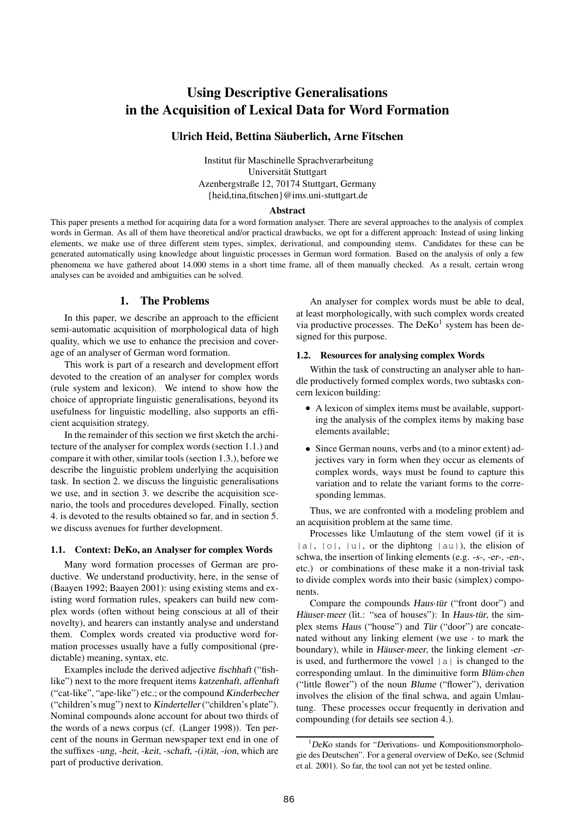# **Using Descriptive Generalisations in the Acquisition of Lexical Data for Word Formation**

# **Ulrich Heid, Bettina Säuberlich, Arne Fitschen**

Institut für Maschinelle Sprachverarbeitung Universität Stuttgart Azenbergstraße 12, 70174 Stuttgart, Germany {heid,tina,fitschen}@ims.uni-stuttgart.de

#### **Abstract**

This paper presents a method for acquiring data for a word formation analyser. There are several approaches to the analysis of complex words in German. As all of them have theoretical and/or practical drawbacks, we opt for a different approach: Instead of using linking elements, we make use of three different stem types, simplex, derivational, and compounding stems. Candidates for these can be generated automatically using knowledge about linguistic processes in German word formation. Based on the analysis of only a few phenomena we have gathered about 14.000 stems in a short time frame, all of them manually checked. As a result, certain wrong analyses can be avoided and ambiguities can be solved.

### **1. The Problems**

In this paper, we describe an approach to the efficient semi-automatic acquisition of morphological data of high quality, which we use to enhance the precision and coverage of an analyser of German word formation.

This work is part of a research and development effort devoted to the creation of an analyser for complex words (rule system and lexicon). We intend to show how the choice of appropriate linguistic generalisations, beyond its usefulness for linguistic modelling, also supports an efficient acquisition strategy.

In the remainder of this section we first sketch the architecture of the analyser for complex words (section 1.1.) and compare it with other, similar tools (section 1.3.), before we describe the linguistic problem underlying the acquisition task. In section 2. we discuss the linguistic generalisations we use, and in section 3. we describe the acquisition scenario, the tools and procedures developed. Finally, section 4. is devoted to the results obtained so far, and in section 5. we discuss avenues for further development.

### **1.1. Context: DeKo, an Analyser for complex Words**

Many word formation processes of German are productive. We understand productivity, here, in the sense of (Baayen 1992; Baayen 2001): using existing stems and existing word formation rules, speakers can build new complex words (often without being conscious at all of their novelty), and hearers can instantly analyse and understand them. Complex words created via productive word formation processes usually have a fully compositional (predictable) meaning, syntax, etc.

Examples include the derived adjective fischhaft ("fishlike") next to the more frequent items katzenhaft, affenhaft ("cat-like", "ape-like") etc.; or the compound Kinderbecher ("children's mug") next to Kinderteller ("children's plate"). Nominal compounds alone account for about two thirds of the words of a news corpus (cf. (Langer 1998)). Ten percent of the nouns in German newspaper text end in one of the suffixes -ung, -heit, -keit, -schaft, -(i)tät, -ion, which are part of productive derivation.

An analyser for complex words must be able to deal, at least morphologically, with such complex words created via productive processes. The DeKo<sup>1</sup> system has been designed for this purpose.

### **1.2. Resources for analysing complex Words**

Within the task of constructing an analyser able to handle productively formed complex words, two subtasks concern lexicon building:

- A lexicon of simplex items must be available, supporting the analysis of the complex items by making base elements available;
- Since German nouns, verbs and (to a minor extent) adjectives vary in form when they occur as elements of complex words, ways must be found to capture this variation and to relate the variant forms to the corresponding lemmas.

Thus, we are confronted with a modeling problem and an acquisition problem at the same time.

Processes like Umlautung of the stem vowel (if it is  $|a|, |o|, |u|$ , or the diphtong  $|au|$ , the elision of schwa, the insertion of linking elements (e.g. -s-, -er-, -en-, etc.) or combinations of these make it a non-trivial task to divide complex words into their basic (simplex) components.

Compare the compounds Haus tür ("front door") and Häuser meer (lit.: "sea of houses"): In Haus tür, the simplex stems Haus ("house") and Tür ("door") are concatenated without any linking element (we use to mark the boundary), while in Häuser meer, the linking element -eris used, and furthermore the vowel  $|a|$  is changed to the corresponding umlaut. In the diminuitive form Blüm chen ("little flower") of the noun Blume ("flower"), derivation involves the elision of the final schwa, and again Umlautung. These processes occur frequently in derivation and compounding (for details see section 4.).

 $1$ DeKo stands for "Derivations- und Kompositionsmorphologie des Deutschen". For a general overview of DeKo, see (Schmid et al. 2001). So far, the tool can not yet be tested online.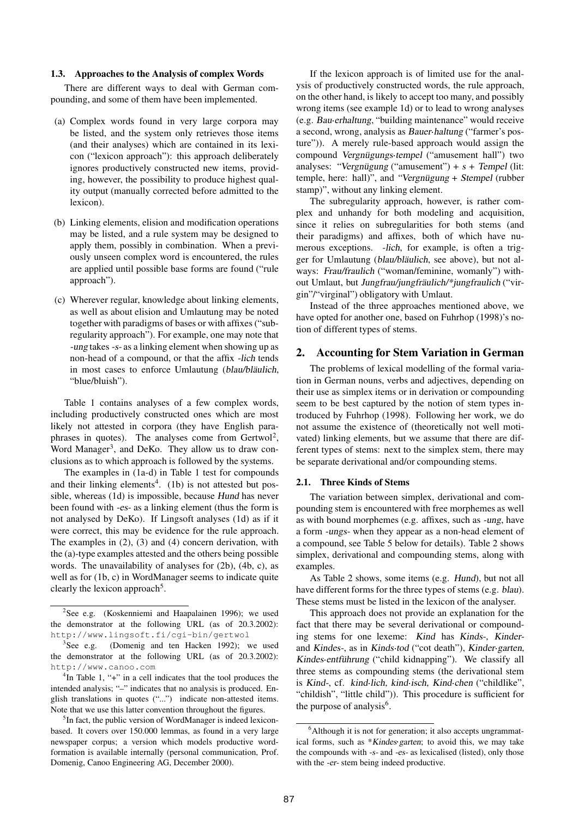### **1.3. Approaches to the Analysis of complex Words**

There are different ways to deal with German compounding, and some of them have been implemented.

- (a) Complex words found in very large corpora may be listed, and the system only retrieves those items (and their analyses) which are contained in its lexicon ("lexicon approach"): this approach deliberately ignores productively constructed new items, providing, however, the possibility to produce highest quality output (manually corrected before admitted to the lexicon).
- (b) Linking elements, elision and modification operations may be listed, and a rule system may be designed to apply them, possibly in combination. When a previously unseen complex word is encountered, the rules are applied until possible base forms are found ("rule approach").
- (c) Wherever regular, knowledge about linking elements, as well as about elision and Umlautung may be noted together with paradigms of bases or with affixes ("subregularity approach"). For example, one may note that -ung takes -s- as a linking element when showing up as non-head of a compound, or that the affix -lich tends in most cases to enforce Umlautung (blau/bläulich, "blue/bluish").

Table 1 contains analyses of a few complex words, including productively constructed ones which are most likely not attested in corpora (they have English paraphrases in quotes). The analyses come from Gertwol<sup>2</sup>, Word Manager<sup>3</sup>, and DeKo. They allow us to draw conclusions as to which approach is followed by the systems.

The examples in (1a-d) in Table 1 test for compounds and their linking elements<sup>4</sup>. (1b) is not attested but possible, whereas (1d) is impossible, because Hund has never been found with -es- as a linking element (thus the form is not analysed by DeKo). If Lingsoft analyses (1d) as if it were correct, this may be evidence for the rule approach. The examples in (2), (3) and (4) concern derivation, with the (a)-type examples attested and the others being possible words. The unavailability of analyses for (2b), (4b, c), as well as for (1b, c) in WordManager seems to indicate quite clearly the lexicon approach<sup>5</sup>.

<sup>4</sup>In Table 1, "+" in a cell indicates that the tool produces the intended analysis; "–" indicates that no analysis is produced. English translations in quotes ("...") indicate non-attested items. Note that we use this latter convention throughout the figures.

<sup>5</sup>In fact, the public version of WordManager is indeed lexiconbased. It covers over 150.000 lemmas, as found in a very large newspaper corpus; a version which models productive wordformation is available internally (personal communication, Prof. Domenig, Canoo Engineering AG, December 2000).

If the lexicon approach is of limited use for the analysis of productively constructed words, the rule approach, on the other hand, is likely to accept too many, and possibly wrong items (see example 1d) or to lead to wrong analyses (e.g. Bau erhaltung, "building maintenance" would receive a second, wrong, analysis as Bauer haltung ("farmer's posture")). A merely rule-based approach would assign the compound Vergnügungs tempel ("amusement hall") two analyses: "Vergnügung ("amusement") +  $s$  + Tempel (lit: temple, here: hall)", and "Vergnügung + Stempel (rubber stamp)", without any linking element.

The subregularity approach, however, is rather complex and unhandy for both modeling and acquisition, since it relies on subregularities for both stems (and their paradigms) and affixes, both of which have numerous exceptions. -lich, for example, is often a trigger for Umlautung (blau/bläulich, see above), but not always: Frau/fraulich ("woman/feminine, womanly") without Umlaut, but Jungfrau/jungfräulich/\*jungfraulich ("virgin"/"virginal") obligatory with Umlaut.

Instead of the three approaches mentioned above, we have opted for another one, based on Fuhrhop (1998)'s notion of different types of stems.

### **2. Accounting for Stem Variation in German**

The problems of lexical modelling of the formal variation in German nouns, verbs and adjectives, depending on their use as simplex items or in derivation or compounding seem to be best captured by the notion of stem types introduced by Fuhrhop (1998). Following her work, we do not assume the existence of (theoretically not well motivated) linking elements, but we assume that there are different types of stems: next to the simplex stem, there may be separate derivational and/or compounding stems.

#### **2.1. Three Kinds of Stems**

The variation between simplex, derivational and compounding stem is encountered with free morphemes as well as with bound morphemes (e.g. affixes, such as -ung, have a form -ungs- when they appear as a non-head element of a compound, see Table 5 below for details). Table 2 shows simplex, derivational and compounding stems, along with examples.

As Table 2 shows, some items (e.g. Hund), but not all have different forms for the three types of stems (e.g. blau). These stems must be listed in the lexicon of the analyser.

This approach does not provide an explanation for the fact that there may be several derivational or compounding stems for one lexeme: Kind has Kinds-, Kinderand Kindes-, as in Kinds tod ("cot death"), Kinder garten, Kindes entführung ("child kidnapping"). We classify all three stems as compounding stems (the derivational stem is Kind-, cf. kind lich, kind isch, Kind chen ("childlike", "childish", "little child")). This procedure is sufficient for the purpose of analysis<sup>6</sup>.

<sup>&</sup>lt;sup>2</sup>See e.g. (Koskenniemi and Haapalainen 1996); we used the demonstrator at the following URL (as of 20.3.2002): http://www.lingsoft.fi/cgi-bin/gertwol

<sup>&</sup>lt;sup>3</sup>See e.g. (Domenig and ten Hacken 1992); we used the demonstrator at the following URL (as of 20.3.2002): http://www.canoo.com

<sup>&</sup>lt;sup>6</sup>Although it is not for generation; it also accepts ungrammatical forms, such as \*Kindes garten; to avoid this, we may take the compounds with -s- and -es- as lexicalised (listed), only those with the -er- stem being indeed productive.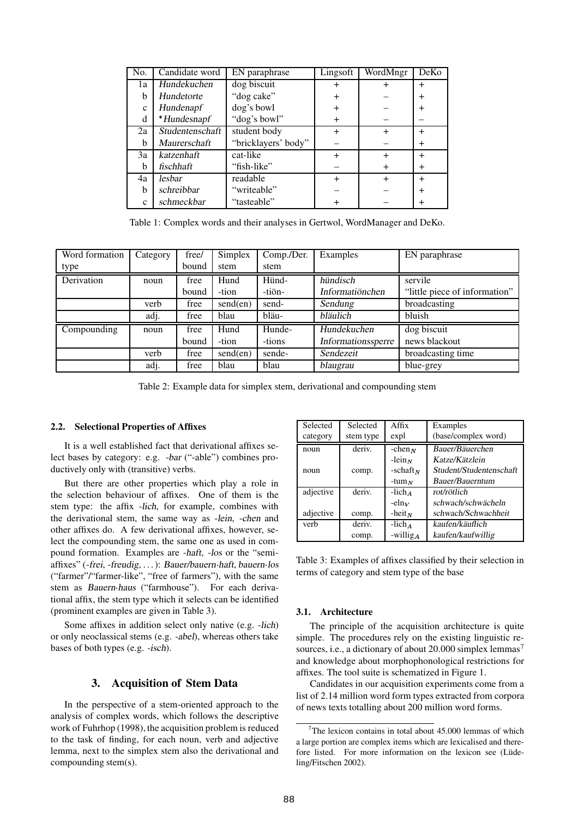| No.          | Candidate word  | EN paraphrase       | Lingsoft  | WordMngr  | DeKo         |
|--------------|-----------------|---------------------|-----------|-----------|--------------|
| 1a           | Hundekuchen     | dog biscuit         | +         | $^+$      | $\mathrm{+}$ |
| b            | Hundetorte      | "dog cake"          | $\,^+$    |           | $^{+}$       |
| $\mathbf{C}$ | Hundenapf       | dog's bowl          | $\,^+$    |           | $\,{}^+$     |
| d            | *Hundesnapf     | "dog's bowl"        | $\ddot{}$ |           |              |
| 2a           | Studentenschaft | student body        | $\ddot{}$ | $\ddot{}$ | $\div$       |
| b            | Maurerschaft    | "bricklayers' body" |           |           | $\div$       |
| 3a           | katzenhaft      | cat-like            | $\div$    | $^{+}$    | $^{+}$       |
| b            | fischhaft       | "fish-like"         |           | $\div$    | $\div$       |
| 4a           | lesbar          | readable            | $^{+}$    | $^{+}$    | $^{+}$       |
| b            | schreibbar      | "writeable"         |           |           |              |
| $\mathbf{C}$ | schmeckbar      | "tasteable"         |           |           |              |

Table 1: Complex words and their analyses in Gertwol, WordManager and DeKo.

| Word formation | Category | free/ | Simplex  | Comp./Der. | Examples           | EN paraphrase                 |
|----------------|----------|-------|----------|------------|--------------------|-------------------------------|
| type           |          | bound | stem     | stem       |                    |                               |
| Derivation     | noun     | free  | Hund     | Hünd-      | hündisch           | servile                       |
|                |          | bound | -tion    | -tiön-     | Informatiönchen    | "little piece of information" |
|                | verb     | free  | send(en) | send-      | Sendung            | broadcasting                  |
|                | adj.     | free  | blau     | bläu-      | bläulich           | bluish                        |
| Compounding    | noun     | free  | Hund     | Hunde-     | Hundekuchen        | dog biscuit                   |
|                |          | bound | -tion    | -tions     | Informationssperre | news blackout                 |
|                | verb     | free  | send(en) | sende-     | Sendezeit          | broadcasting time             |
|                | adj.     | free  | blau     | blau       | blaugrau           | blue-grey                     |

Table 2: Example data for simplex stem, derivational and compounding stem

#### **2.2. Selectional Properties of Affixes**

It is a well established fact that derivational affixes select bases by category: e.g. -bar ("-able") combines productively only with (transitive) verbs.

But there are other properties which play a role in the selection behaviour of affixes. One of them is the stem type: the affix -lich, for example, combines with the derivational stem, the same way as -lein, -chen and other affixes do. A few derivational affixes, however, select the compounding stem, the same one as used in compound formation. Examples are -haft, -los or the "semiaffixes" (-frei, -freudig, . . .): Bauer/bauern haft, bauern los ("farmer"/"farmer-like", "free of farmers"), with the same stem as Bauern haus ("farmhouse"). For each derivational affix, the stem type which it selects can be identified (prominent examples are given in Table 3).

Some affixes in addition select only native (e.g. -lich) or only neoclassical stems (e.g. -abel), whereas others take bases of both types (e.g. -isch).

## **3. Acquisition of Stem Data**

In the perspective of a stem-oriented approach to the analysis of complex words, which follows the descriptive work of Fuhrhop (1998), the acquisition problem is reduced to the task of finding, for each noun, verb and adjective lemma, next to the simplex stem also the derivational and compounding stem(s).

| Selected  | Selected  | Affix             | Examples                |
|-----------|-----------|-------------------|-------------------------|
| category  | stem type | expl              | (base/complex word)     |
| noun      | deriv.    | $-$ chen $N$      | Bauer/Bäuerchen         |
|           |           | $-\text{lein}_N$  | Katze/Kätzlein          |
| noun      | comp.     | -schaft $_N$      | Student/Studentenschaft |
|           |           | -tum $_N$         | Bauer/Bauerntum         |
| adjective | deriv.    | -lich 4           | rot/rötlich             |
|           |           | $-\text{eln}_V$   | schwach/schwächeln      |
| adjective | comp.     | $-$ heit $N$      | schwach/Schwachheit     |
| verb      | deriv.    | $-$ lich $\alpha$ | kaufen/käuflich         |
|           | comp.     | $-willig_A$       | kaufen/kaufwillig       |

Table 3: Examples of affixes classified by their selection in terms of category and stem type of the base

### **3.1. Architecture**

The principle of the acquisition architecture is quite simple. The procedures rely on the existing linguistic resources, i.e., a dictionary of about 20.000 simplex lemmas<sup>7</sup> and knowledge about morphophonological restrictions for affixes. The tool suite is schematized in Figure 1.

Candidates in our acquisition experiments come from a list of 2.14 million word form types extracted from corpora of news texts totalling about 200 million word forms.

 $7$ The lexicon contains in total about 45.000 lemmas of which a large portion are complex items which are lexicalised and therefore listed. For more information on the lexicon see (Lüdeling/Fitschen 2002).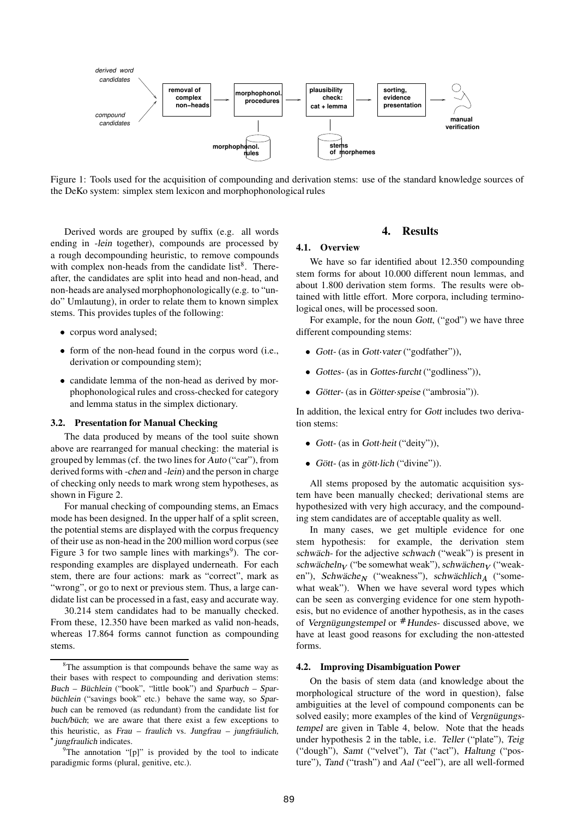

Figure 1: Tools used for the acquisition of compounding and derivation stems: use of the standard knowledge sources of the DeKo system: simplex stem lexicon and morphophonological rules

Derived words are grouped by suffix (e.g. all words ending in -lein together), compounds are processed by a rough decompounding heuristic, to remove compounds with complex non-heads from the candidate list $8$ . Thereafter, the candidates are split into head and non-head, and non-heads are analysed morphophonologically(e.g. to "undo" Umlautung), in order to relate them to known simplex stems. This provides tuples of the following:

- corpus word analysed;
- form of the non-head found in the corpus word (i.e., derivation or compounding stem);
- candidate lemma of the non-head as derived by morphophonological rules and cross-checked for category and lemma status in the simplex dictionary.

#### **3.2. Presentation for Manual Checking**

The data produced by means of the tool suite shown above are rearranged for manual checking: the material is grouped by lemmas(cf. the two lines for Auto ("car"), from derived forms with -chen and -lein) and the person in charge of checking only needs to mark wrong stem hypotheses, as shown in Figure 2.

For manual checking of compounding stems, an Emacs mode has been designed. In the upper half of a split screen, the potential stems are displayed with the corpus frequency of their use as non-head in the 200 million word corpus (see Figure 3 for two sample lines with markings<sup>9</sup>). The corresponding examples are displayed underneath. For each stem, there are four actions: mark as "correct", mark as "wrong", or go to next or previous stem. Thus, a large candidate list can be processed in a fast, easy and accurate way.

30.214 stem candidates had to be manually checked. From these, 12.350 have been marked as valid non-heads, whereas 17.864 forms cannot function as compounding stems.

 $9^9$ The annotation "[p]" is provided by the tool to indicate paradigmic forms (plural, genitive, etc.).

### **4. Results**

#### **4.1. Overview**

We have so far identified about 12.350 compounding stem forms for about 10.000 different noun lemmas, and about 1.800 derivation stem forms. The results were obtained with little effort. More corpora, including terminological ones, will be processed soon.

For example, for the noun Gott, ("god") we have three different compounding stems:

- Gott- (as in Gott vater ("godfather")),
- Gottes- (as in Gottes furcht ("godliness")),
- Götter- (as in Götter speise ("ambrosia")).

In addition, the lexical entry for Gott includes two derivation stems:

- $\bullet$  Gott- (as in Gott heit ("deity")),
- Gött- (as in gött lich ("divine")).

All stems proposed by the automatic acquisition system have been manually checked; derivational stems are hypothesized with very high accuracy, and the compounding stem candidates are of acceptable quality as well.

In many cases, we get multiple evidence for one stem hypothesis: for example, the derivation stem schwäch- for the adjective schwach ("weak") is present in schwächeln $_V$  ("be somewhat weak"), schwächen $_V$  ("weaken"), Schwäche $_N$  ("weakness"), schwächlich $_A$  ("somewhat weak"). When we have several word types which can be seen as converging evidence for one stem hypothesis, but no evidence of another hypothesis, as in the cases of Vergnügungstempel or Hundes- discussed above, we have at least good reasons for excluding the non-attested forms.

### **4.2. Improving Disambiguation Power**

On the basis of stem data (and knowledge about the morphological structure of the word in question), false ambiguities at the level of compound components can be solved easily; more examples of the kind of Vergnügungstempel are given in Table 4, below. Note that the heads under hypothesis 2 in the table, i.e. Teller ("plate"), Teig ("dough"), Samt ("velvet"), Tat ("act"), Haltung ("posture"), Tand ("trash") and Aal ("eel"), are all well-formed

<sup>&</sup>lt;sup>8</sup>The assumption is that compounds behave the same way as their bases with respect to compounding and derivation stems: Buch – Büchlein ("book", "little book") and Sparbuch – Sparbüchlein ("savings book" etc.) behave the same way, so Sparbuch can be removed (as redundant) from the candidate list for buch/büch; we are aware that there exist a few exceptions to this heuristic, as Frau – fraulich vs. Jungfrau – jungfräulich, \* jungfraulich indicates.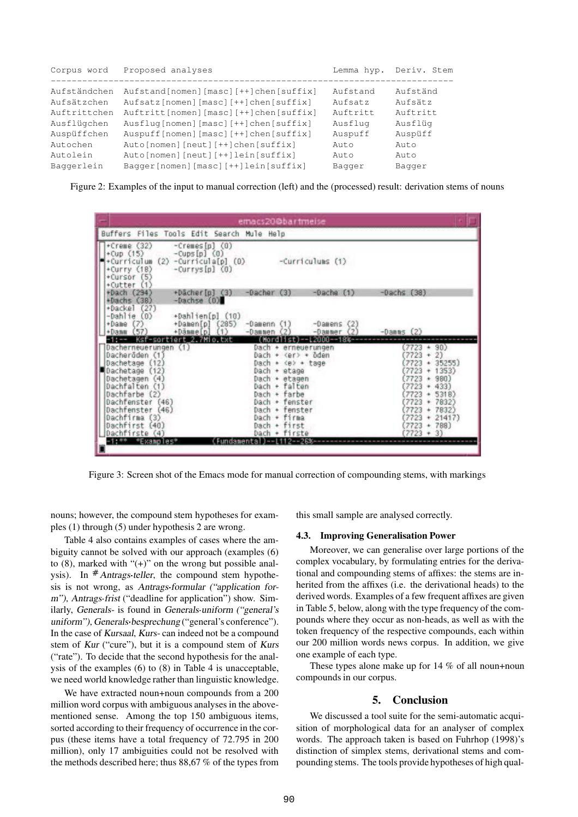| Corpus word  | Proposed analyses                         | Lemma hyp. | Deriv. Stem |
|--------------|-------------------------------------------|------------|-------------|
| Aufständchen | Aufstand[nomen][masc][++]chen[suffix]     | Aufstand   | Aufständ    |
| Aufsätzchen  | Aufsatz[nomen][masc][++]chen[suffix]      | Aufsatz    | Aufsätz     |
| Auftrittchen | Auftritt[nomen][masc][++]chen[suffix]     | Auftritt   | Auftritt    |
| Ausflügchen  | Ausflug[nomen][masc][++]chen[suffix]      | Ausflug    | Ausflüg     |
| Auspüffchen  | Auspuff [nomen] [masc] [++] chen [suffix] | Auspuff    | Auspüff     |
| Autochen     | Auto[nomen][neut][++]chen[suffix]         | Auto       | Auto        |
| Autolein     | Auto[nomen][neut][++]lein[suffix]         | Auto       | Auto        |
| Baqqerlein   | Bagger[nomen][masc][++]lein[suffix]       | Bagger     | Baqqer      |
|              |                                           |            |             |

Figure 2: Examples of the input to manual correction (left) and the (processed) result: derivation stems of nouns



Figure 3: Screen shot of the Emacs mode for manual correction of compounding stems, with markings

nouns; however, the compound stem hypotheses for examples (1) through (5) under hypothesis 2 are wrong.

Table 4 also contains examples of cases where the ambiguity cannot be solved with our approach (examples (6) to  $(8)$ , marked with " $(+)$ " on the wrong but possible analysis). In  $#Antrags-teller$ , the compound stem hypothesis is not wrong, as Antrags formular ("application for<sup>m</sup>"), Antrags frist ("deadline for application") show. Similarly, Generals- is found in Generals uniform ("general's uniform"), Generals besprechung ("general's conference"). In the case of Kursaal, Kurs- can indeed not be a compound stem of Kur ("cure"), but it is a compound stem of Kurs ("rate"). To decide that the second hypothesis for the analysis of the examples (6) to (8) in Table 4 is unacceptable, we need world knowledge rather than linguistic knowledge.

We have extracted noun+noun compounds from a 200 million word corpus with ambiguous analyses in the abovementioned sense. Among the top 150 ambiguous items, sorted according to their frequency of occurrence in the corpus (these items have a total frequency of 72.795 in 200 million), only 17 ambiguities could not be resolved with the methods described here; thus 88,67 % of the types from this small sample are analysed correctly.

### **4.3. Improving Generalisation Power**

Moreover, we can generalise over large portions of the complex vocabulary, by formulating entries for the derivational and compounding stems of affixes: the stems are inherited from the affixes (i.e. the derivational heads) to the derived words. Examples of a few frequent affixes are given in Table 5, below, along with the type frequency of the compounds where they occur as non-heads, as well as with the token frequency of the respective compounds, each within our 200 million words news corpus. In addition, we give one example of each type.

These types alone make up for 14 % of all noun+noun compounds in our corpus.

## **5. Conclusion**

We discussed a tool suite for the semi-automatic acquisition of morphological data for an analyser of complex words. The approach taken is based on Fuhrhop (1998)'s distinction of simplex stems, derivational stems and compounding stems. The tools provide hypotheses of high qual-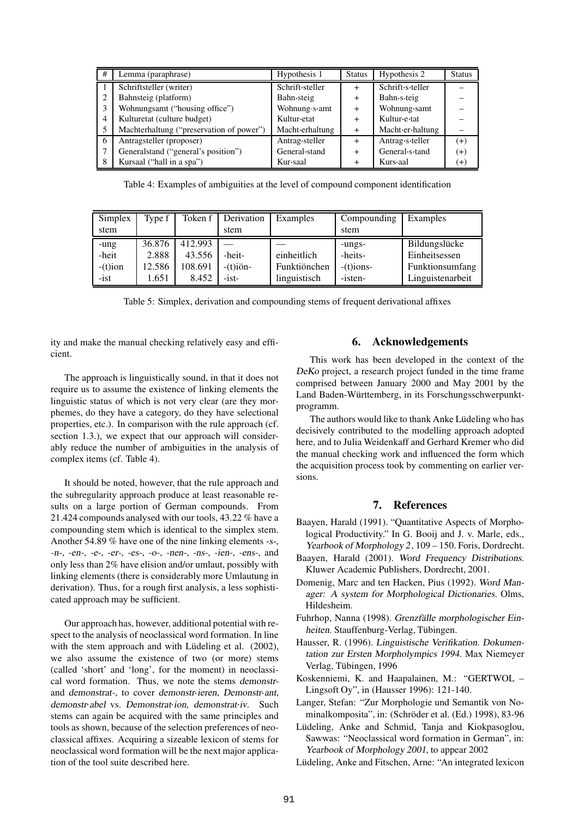| # | Lemma (paraphrase)                       | Hypothesis 1    | <b>Status</b> | Hypothesis 2     | <b>Status</b> |
|---|------------------------------------------|-----------------|---------------|------------------|---------------|
|   | Schriftsteller (writer)                  | Schrift steller |               | Schrift s teller |               |
| 2 | Bahnsteig (platform)                     | Bahn steig      | $+$           | Bahn s teig      |               |
| 3 | Wohnungsamt ("housing office")           | Wohnung s amt   | $+$           | Wohnung samt     |               |
| 4 | Kulturetat (culture budget)              | Kultur etat     | $\ddot{}$     | Kultur e tat     |               |
| 5 | Machterhaltung ("preservation of power") | Macht erhaltung | $\ddot{}$     | Macht er haltung |               |
| 6 | Antragsteller (proposer)                 | Antrag steller  | $\ddot{}$     | Antrag s teller  | $(+)$         |
|   | Generalstand ("general's position")      | General stand   | $\ddot{}$     | General s tand   | $(+)$         |
| 8 | Kursaal ("hall in a spa")                | Kur saal        | +             | Kurs aal         | $^{(+)}$      |

Table 4: Examples of ambiguities at the level of compound component identification

| Simplex    | Type f | Token f | Derivation        | Examples     | Compounding  | Examples         |
|------------|--------|---------|-------------------|--------------|--------------|------------------|
| stem       |        |         | stem              |              | stem         |                  |
| -ung       | 36.876 | 412.993 |                   |              | -ungs-       | Bildungslücke    |
| -heit      | 2.888  | 43.556  | -heit-            | einheitlich  | -heits-      | Einheitsessen    |
| $-(t)$ ion | 12.586 | 108.691 | $-(t)i\ddot{o}n-$ | Funktiönchen | $-(t)$ ions- | Funktionsumfang  |
| $-ist$     | 1.651  | 8.452   | $-ist$            | linguistisch | -isten-      | Linguistenarbeit |

Table 5: Simplex, derivation and compounding stems of frequent derivational affixes

ity and make the manual checking relatively easy and efficient.

The approach is linguistically sound, in that it does not require us to assume the existence of linking elements the linguistic status of which is not very clear (are they morphemes, do they have a category, do they have selectional properties, etc.). In comparison with the rule approach (cf. section 1.3.), we expect that our approach will considerably reduce the number of ambiguities in the analysis of complex items (cf. Table 4).

It should be noted, however, that the rule approach and the subregularity approach produce at least reasonable results on a large portion of German compounds. From 21.424 compounds analysed with our tools, 43.22 % have a compounding stem which is identical to the simplex stem. Another 54.89 % have one of the nine linking elements -s-, -n-, -en-, -e-, -er-, -es-, -o-, -nen-, -ns-, -ien-, -ens-, and only less than 2% have elision and/or umlaut, possibly with linking elements (there is considerably more Umlautung in derivation). Thus, for a rough first analysis, a less sophisticated approach may be sufficient.

Our approach has, however, additional potential with respect to the analysis of neoclassical word formation. In line with the stem approach and with Lüdeling et al. (2002), we also assume the existence of two (or more) stems (called 'short' and 'long', for the moment) in neoclassical word formation. Thus, we note the stems demonstrand demonstrat-, to cover demonstr ieren, Demonstr ant, demonstr abel vs. Demonstrat ion, demonstrat iv. Such stems can again be acquired with the same principles and tools as shown, because of the selection preferences of neoclassical affixes. Acquiring a sizeable lexicon of stems for neoclassical word formation will be the next major application of the tool suite described here.

# **6. Acknowledgements**

This work has been developed in the context of the DeKo project, a research project funded in the time frame comprised between January 2000 and May 2001 by the Land Baden-Württemberg, in its Forschungsschwerpunktprogramm.

The authors would like to thank Anke Lüdeling who has decisively contributed to the modelling approach adopted here, and to Julia Weidenkaff and Gerhard Kremer who did the manual checking work and influenced the form which the acquisition process took by commenting on earlier versions.

# **7. References**

- Baayen, Harald (1991). "Quantitative Aspects of Morphological Productivity." In G. Booij and J. v. Marle, eds., Yearbook of Morphology 2, 109 - 150. Foris, Dordrecht.
- Baayen, Harald (2001). Word Frequency Distributions. Kluwer Academic Publishers, Dordrecht, 2001.
- Domenig, Marc and ten Hacken, Pius (1992). Word Manager: <sup>A</sup> system for Morphological Dictionaries. Olms, Hildesheim.
- Fuhrhop, Nanna (1998). Grenzfälle morphologischer Einheiten. Stauffenburg-Verlag, Tübingen.
- Hausser, R. (1996). Linguistische Verifikation. Dokumentation zur Ersten Morpholympics <sup>1994</sup>. Max Niemeyer Verlag, Tübingen, 1996
- Koskenniemi, K. and Haapalainen, M.: "GERTWOL Lingsoft Oy", in (Hausser 1996): 121-140.
- Langer, Stefan: "Zur Morphologie und Semantik von Nominalkomposita", in: (Schröder et al. (Ed.) 1998), 83-96
- Lüdeling, Anke and Schmid, Tanja and Kiokpasoglou, Sawwas: "Neoclassical word formation in German", in: Yearbook of Morphology <sup>2001</sup>, to appear 2002
- Lüdeling, Anke and Fitschen, Arne: "An integrated lexicon